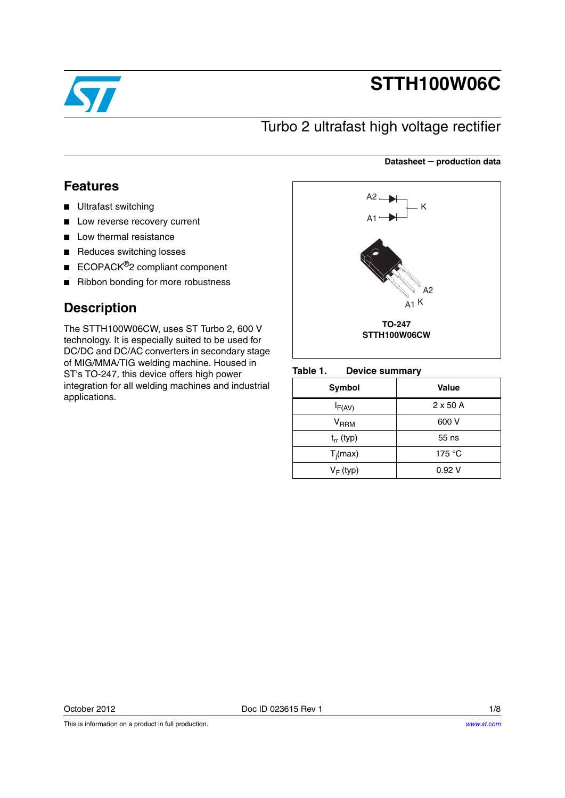

# **STTH100W06C**

**Datasheet production data**

## Turbo 2 ultrafast high voltage rectifier

### **Features**

- Ultrafast switching
- Low reverse recovery current
- Low thermal resistance
- Reduces switching losses
- ECOPACK<sup>®</sup>2 compliant component
- Ribbon bonding for more robustness

### **Description**

The STTH100W06CW, uses ST Turbo 2, 600 V technology. It is especially suited to be used for DC/DC and DC/AC converters in secondary stage of MIG/MMA/TIG welding machine. Housed in ST's TO-247, this device offers high power integration for all welding machines and industrial applications.



#### Table 1. **Device summary**

| Symbol              | <b>Value</b>    |
|---------------------|-----------------|
| $I_{F(AV)}$         | $2 \times 50$ A |
| $\rm{V}_{\rm{RRM}}$ | 600 V           |
| $t_{rr}$ (typ)      | 55 ns           |
| $T_i(max)$          | 175 $\degree$ C |
| $V_F$ (typ)         | 0.92V           |

This is information on a product in full production.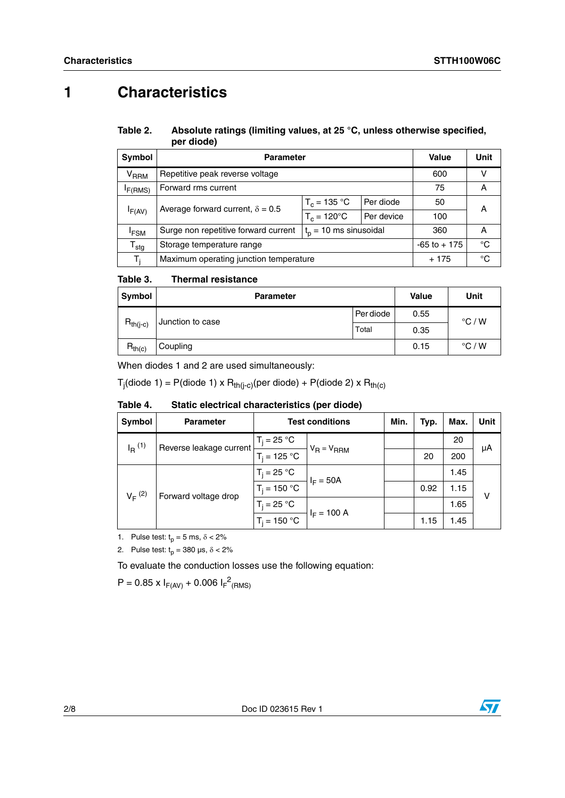## **1 Characteristics**

### Table 2. Absolute ratings (limiting values, at 25 °C, unless otherwise specified, **per diode)**

| Symbol                     | <b>Parameter</b>                        | Value                       | Unit       |     |   |
|----------------------------|-----------------------------------------|-----------------------------|------------|-----|---|
| <b>V<sub>RRM</sub></b>     | Repetitive peak reverse voltage         | 600                         |            |     |   |
| I <sub>F</sub> (RMS)       | Forward rms current                     | 75                          | A          |     |   |
|                            | Average forward current, $\delta = 0.5$ | $T_c = 135 °C$<br>Per diode |            | 50  | Α |
| IF(AV)                     |                                         | $T_c = 120^{\circ}$ C       | Per device | 100 |   |
| <sup>I</sup> FSM           | Surge non repetitive forward current    | 360                         | Α          |     |   |
| ${\mathsf T}_{\text{stg}}$ | Storage temperature range               | $-65$ to $+175$             | °C         |     |   |
| T,                         | Maximum operating junction temperature  | $+175$                      | °C         |     |   |

#### Table 3. **Thermal resistance**

| Symbol        | <b>Parameter</b> | <b>Value</b> | Unit |                 |
|---------------|------------------|--------------|------|-----------------|
|               | Junction to case | Per diode    | 0.55 | $\degree$ C / W |
| $R_{th(j-c)}$ |                  | Total        | 0.35 |                 |
| $R_{th(c)}$   | Coupling         |              | 0.15 | $\degree$ C / W |

When diodes 1 and 2 are used simultaneously:

T<sub>j</sub>(diode 1) = P(diode 1) x R<sub>th(j-c)</sub>(per diode) + P(diode 2) x R<sub>th(c)</sub>

| Symbol               | <b>Parameter</b>                    | <b>Test conditions</b> |                              | Min. | Typ. | Max. | Unit |
|----------------------|-------------------------------------|------------------------|------------------------------|------|------|------|------|
| $I_R$ <sup>(1)</sup> | Reverse leakage current             | $T_i = 25 °C$          |                              |      |      | 20   |      |
|                      | $T_i = 125 °C$                      | $V_R = V_{RRM}$        |                              | 20   | 200  | μA   |      |
|                      | $V_F^{(2)}$<br>Forward voltage drop | $T_i = 25 °C$          | $I_F = 50A$<br>$I_F = 100 A$ |      |      | 1.45 |      |
|                      |                                     | $T_i = 150 °C$         |                              |      | 0.92 | 1.15 | v    |
|                      |                                     | $T_i = 25 °C$          |                              |      |      | 1.65 |      |
|                      |                                     | $T_i = 150 °C$         |                              |      | 1.15 | 1.45 |      |

Table 4. Static electrical characteristics (per diode)

1. Pulse test:  $t_p = 5$  ms,  $\delta < 2\%$ 

2. Pulse test:  $t_p = 380 \text{ }\mu\text{s}, \delta < 2\%$ 

To evaluate the conduction losses use the following equation:

 $P = 0.85 \times I_{F(AV)} + 0.006 I_{F}^{2}$ <sub>(RMS)</sub>

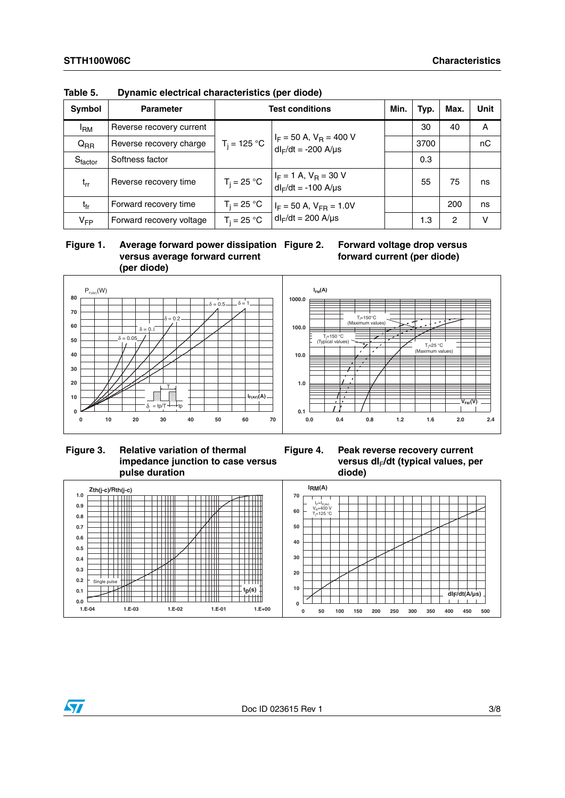| Symbol   | <b>Parameter</b>         | <b>Test conditions</b> |                                                            |  | Typ. | Max. | Unit |
|----------|--------------------------|------------------------|------------------------------------------------------------|--|------|------|------|
| 'RM      | Reverse recovery current |                        |                                                            |  | 30   | 40   | A    |
| $Q_{RR}$ | Reverse recovery charge  | $T_i = 125 °C$         | $I_F$ = 50 A, $V_R$ = 400 V<br>$dl_F/dt = -200$ A/ $\mu s$ |  | 3700 |      | nC   |
| Sfactor  | Softness factor          |                        |                                                            |  | 0.3  |      |      |
| $t_{rr}$ | Reverse recovery time    | $T_i = 25 °C$          | $I_F = 1$ A, $V_R = 30$ V<br>$dl_F/dt = -100$ A/ $\mu s$   |  | 55   | 75   | ns   |
| tfr      | Forward recovery time    | $T_i = 25 °C$          | $I_F = 50$ A, $V_{FR} = 1.0$ V                             |  |      | 200  | ns   |
| $V_{FP}$ | Forward recovery voltage | $T_i = 25 °C$          | $dl_F/dt = 200$ A/ $\mu s$                                 |  | 1.3  | 2    | v    |

**Table 5. Dynamic electrical characteristics (per diode)**

 **Figure 1. Average forward power dissipation versus average forward current (per diode)**





**Figure 3. Relative variation of thermal impedance junction to case versus pulse duration**



versus dl<sub>F</sub>/dt (typical values, per **diode)**

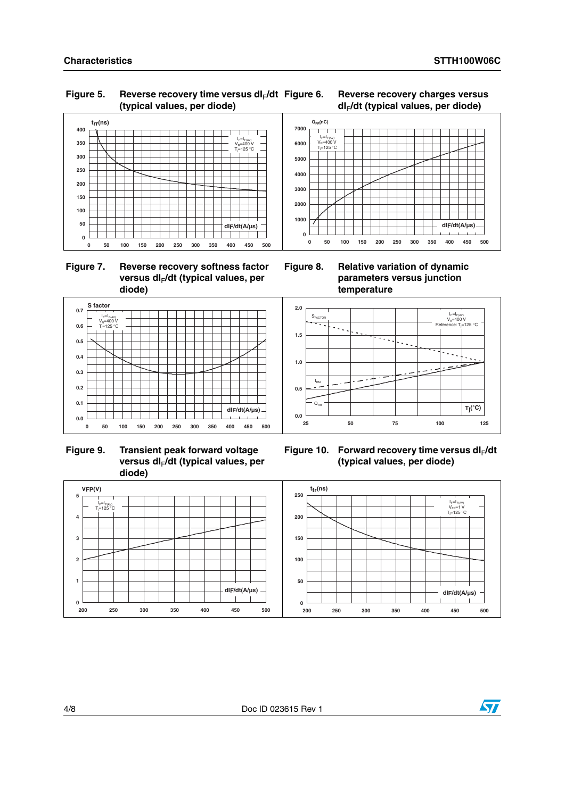### Figure 5. Reverse recovery time versus dl<sub>F</sub>/dt **(typical values, per diode)**



 **Figure 7. Reverse recovery softness factor**  versus dl<sub>F</sub>/dt (typical values, per **diode)**



**Figure 6. Reverse recovery charges versus dI**F**/dt (typical values, per diode)**

**Figure 8. Relative variation of dynamic parameters versus junction temperature**



 **Figure 9. Transient peak forward voltage**  versus dl<sub>F</sub>/dt (typical values, per **diode)**



Figure 10. Forward recovery time versus dl<sub>F</sub>/dt **(typical values, per diode)**



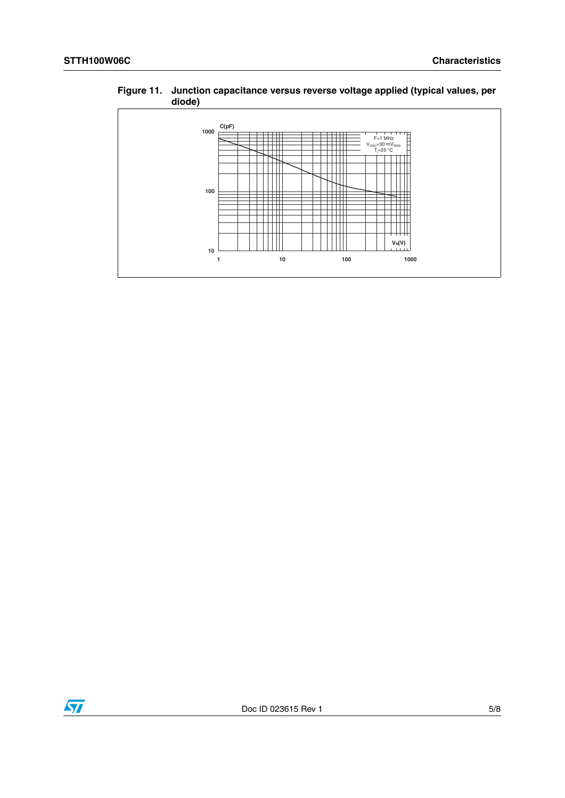### **Figure 11. Junction capacitance versus reverse voltage applied (typical values, per diode)**



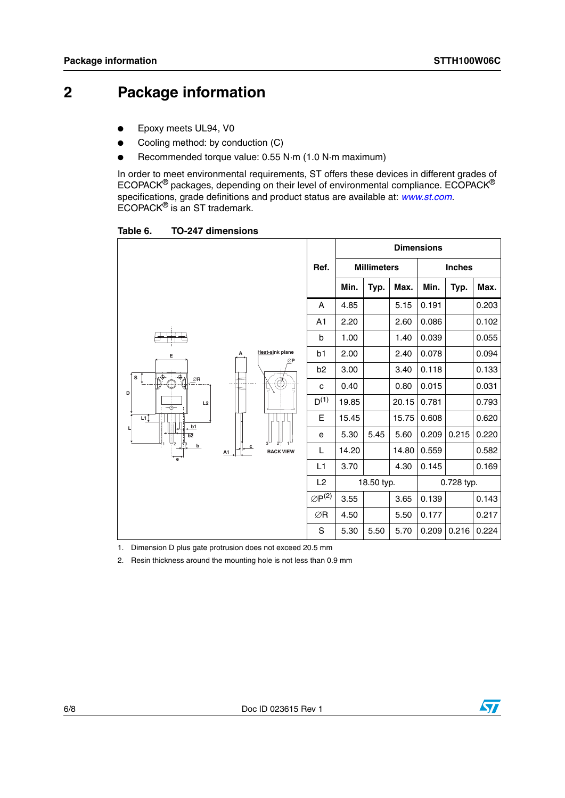## **2 Package information**

- Epoxy meets UL94, V0
- Cooling method: by conduction (C)
- Recommended torque value: 0.55 N·m (1.0 N·m maximum)

In order to meet environmental requirements, ST offers these devices in different grades of ECOPACK® packages, depending on their level of environmental compliance. ECOPACK® specifications, grade definitions and product status are available at: *[www.st.com](http://www.st.com).* ECOPACK® is an ST trademark.

Table 6. **Table 6. TO-247 dimensions**

|                                                      |                       |                  |                       | <b>Dimensions</b> |                    |       |       |               |       |  |
|------------------------------------------------------|-----------------------|------------------|-----------------------|-------------------|--------------------|-------|-------|---------------|-------|--|
|                                                      |                       |                  | Ref.                  |                   | <b>Millimeters</b> |       |       | <b>Inches</b> |       |  |
|                                                      |                       |                  |                       | Min.              | Typ.               | Max.  | Min.  | Typ.          | Max.  |  |
| $\overline{+}$<br>А<br>Е<br>$\cdot \circ$<br>Ö.<br>s |                       |                  | A                     | 4.85              |                    | 5.15  | 0.191 |               | 0.203 |  |
|                                                      |                       |                  | A1                    | 2.20              |                    | 2.60  | 0.086 |               | 0.102 |  |
|                                                      |                       | b                | 1.00                  |                   | 1.40               | 0.039 |       | 0.055         |       |  |
|                                                      | Heat-sink plane<br>ØP | b1               | 2.00                  |                   | 2.40               | 0.078 |       | 0.094         |       |  |
|                                                      |                       | ₾<br>۵Ļ          | b <sub>2</sub>        | 3.00              |                    | 3.40  | 0.118 |               | 0.133 |  |
| $\oslash$ R<br>D                                     |                       |                  | C                     | 0.40              |                    | 0.80  | 0.015 |               | 0.031 |  |
| L2<br>--@--                                          |                       |                  | $D^{(1)}$             | 19.85             |                    | 20.15 | 0.781 |               | 0.793 |  |
| L1]<br>b1                                            |                       |                  | Е                     | 15.45             |                    | 15.75 | 0.608 |               | 0.620 |  |
| b2                                                   |                       | $\psi_{\rm r}$   | е                     | 5.30              | 5.45               | 5.60  | 0.209 | 0.215         | 0.220 |  |
| b<br>$\overrightarrow{e}$                            | $\mathbf{c}$<br>A1    | <b>BACK VIEW</b> | L                     | 14.20             |                    | 14.80 | 0.559 |               | 0.582 |  |
|                                                      |                       |                  | L <sub>1</sub>        | 3.70              |                    | 4.30  | 0.145 |               | 0.169 |  |
|                                                      |                       |                  | L2                    |                   | 18.50 typ.         |       |       | 0.728 typ.    |       |  |
|                                                      |                       |                  | $\varnothing P^{(2)}$ | 3.55              |                    | 3.65  | 0.139 |               | 0.143 |  |
|                                                      |                       |                  | ∅R                    | 4.50              |                    | 5.50  | 0.177 |               | 0.217 |  |
|                                                      |                       |                  | S                     | 5.30              | 5.50               | 5.70  | 0.209 | 0.216         | 0.224 |  |

1. Dimension D plus gate protrusion does not exceed 20.5 mm

2. Resin thickness around the mounting hole is not less than 0.9 mm

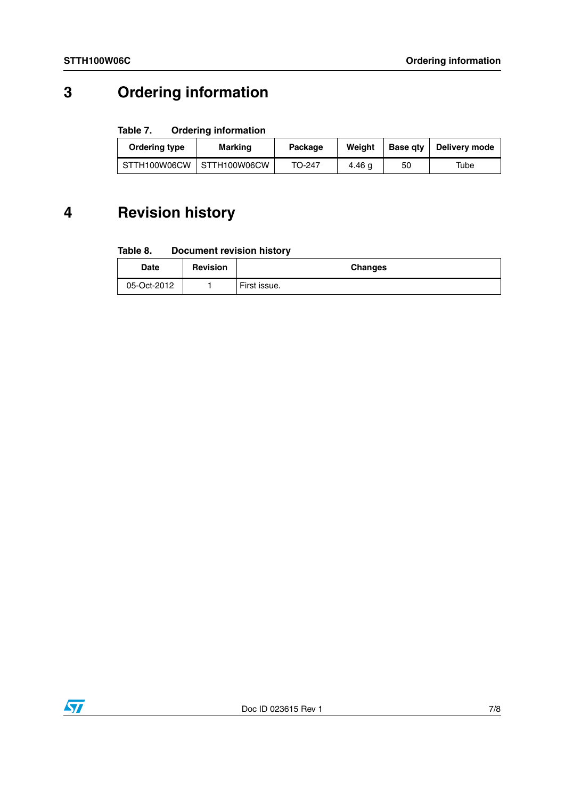## **3 Ordering information**

### Table 7. **Ordering information**

| Ordering type | Marking                     | Package |        | <b>Base atv</b> | Delivery mode |
|---------------|-----------------------------|---------|--------|-----------------|---------------|
|               | STTH100W06CW   STTH100W06CW | TO-247  | 4.46 a | 50              | Tube          |

## **4 Revision history**

#### Table 8. **Document revision history**

| Date        | <b>Revision</b> | <b>Changes</b> |
|-------------|-----------------|----------------|
| 05-Oct-2012 |                 | First issue.   |